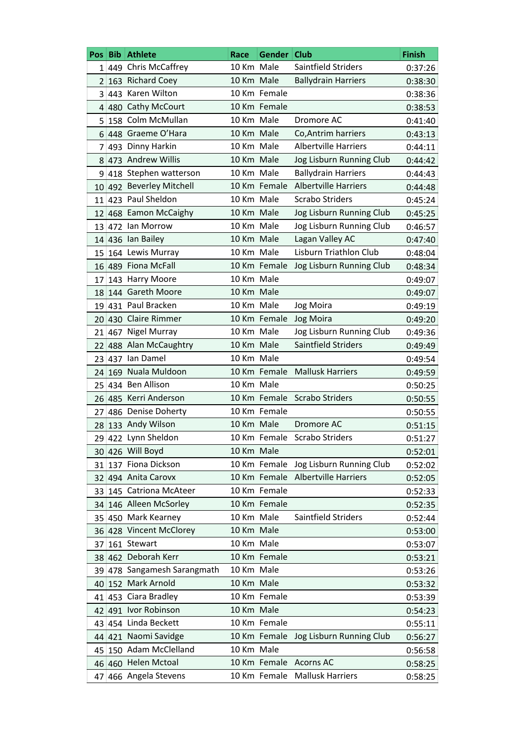| Pos:            |     | <b>Bib Athlete</b>       | Race       | Gender Club  |                                            | <b>Finish</b> |
|-----------------|-----|--------------------------|------------|--------------|--------------------------------------------|---------------|
|                 |     | $1 449$ Chris McCaffrey  | 10 Km Male |              | Saintfield Striders                        | 0:37:26       |
| 2               |     | 163 Richard Coey         | 10 Km Male |              | <b>Ballydrain Harriers</b>                 | 0:38:30       |
| 3               |     | 443 Karen Wilton         |            | 10 Km Female |                                            | 0:38:36       |
|                 |     | 4 480 Cathy McCourt      |            | 10 Km Female |                                            | 0:38:53       |
| 5               |     | 158 Colm McMullan        | 10 Km Male |              | Dromore AC                                 | 0:41:40       |
| 6.              |     | 448 Graeme O'Hara        | 10 Km Male |              | Co, Antrim harriers                        | 0:43:13       |
| 7               |     | 493 Dinny Harkin         | 10 Km Male |              | <b>Albertville Harriers</b>                | 0:44:11       |
| 8               |     | 473 Andrew Willis        | 10 Km Male |              | Jog Lisburn Running Club                   | 0:44:42       |
| 9               |     | 418 Stephen watterson    | 10 Km Male |              | <b>Ballydrain Harriers</b>                 | 0:44:43       |
| 10              |     | 492 Beverley Mitchell    |            | 10 Km Female | <b>Albertville Harriers</b>                | 0:44:48       |
| 11              |     | 423 Paul Sheldon         | 10 Km Male |              | <b>Scrabo Striders</b>                     | 0:45:24       |
| 12              |     | 468 Eamon McCaighy       | 10 Km Male |              | Jog Lisburn Running Club                   | 0:45:25       |
| 13              |     | 472 Ian Morrow           | 10 Km Male |              | Jog Lisburn Running Club                   | 0:46:57       |
|                 |     | 14 436 Ian Bailey        | 10 Km Male |              | Lagan Valley AC                            | 0:47:40       |
| 15              |     | 164 Lewis Murray         | 10 Km Male |              | <b>Lisburn Triathlon Club</b>              | 0:48:04       |
| 16              |     | 489 Fiona McFall         |            | 10 Km Female | Jog Lisburn Running Club                   | 0:48:34       |
| 17              |     | 143 Harry Moore          | 10 Km Male |              |                                            | 0:49:07       |
| 18              |     | 144 Gareth Moore         | 10 Km Male |              |                                            | 0:49:07       |
| 19              |     | 431 Paul Bracken         | 10 Km Male |              | Jog Moira                                  | 0:49:19       |
| 20              |     | 430 Claire Rimmer        |            | 10 Km Female | Jog Moira                                  |               |
|                 |     | Nigel Murray             | 10 Km Male |              | Jog Lisburn Running Club                   | 0:49:20       |
| 21 <sup>1</sup> | 467 | 488 Alan McCaughtry      | 10 Km Male |              | Saintfield Striders                        | 0:49:36       |
| 22              |     | 437 Ian Damel            | 10 Km Male |              |                                            | 0:49:49       |
| 23              |     | 169 Nuala Muldoon        |            | 10 Km Female | <b>Mallusk Harriers</b>                    | 0:49:54       |
| 24.             |     | 434 Ben Allison          | 10 Km Male |              |                                            | 0:49:59       |
| 25              |     | 485 Kerri Anderson       |            | 10 Km Female | <b>Scrabo Striders</b>                     | 0:50:25       |
| 26              |     |                          |            | 10 Km Female |                                            | 0:50:55       |
| 27              |     | 486 Denise Doherty       | 10 Km Male |              |                                            | 0:50:55       |
| 28              |     | 133 Andy Wilson          |            |              | Dromore AC<br>10 Km Female Scrabo Striders | 0:51:15       |
|                 |     | 29 422 Lynn Sheldon      |            |              |                                            | 0:51:27       |
|                 |     | 30 426 Will Boyd         | 10 Km Male |              |                                            | 0:52:01       |
|                 |     | 31 137 Fiona Dickson     |            | 10 Km Female | Jog Lisburn Running Club                   | 0:52:02       |
|                 |     | 32 494 Anita Carovx      |            | 10 Km Female | <b>Albertville Harriers</b>                | 0:52:05       |
|                 |     | 33 145 Catriona McAteer  |            | 10 Km Female |                                            | 0:52:33       |
|                 |     | 34 146 Alleen McSorley   |            | 10 Km Female |                                            | 0:52:35       |
| 35 <sup>1</sup> |     | 450 Mark Kearney         | 10 Km Male |              | Saintfield Striders                        | 0:52:44       |
|                 |     | 36 428 Vincent McClorey  | 10 Km Male |              |                                            | 0:53:00       |
|                 |     | 37 161 Stewart           | 10 Km Male |              |                                            | 0:53:07       |
|                 |     | 38 462 Deborah Kerr      |            | 10 Km Female |                                            | 0:53:21       |
| 39              |     | 478 Sangamesh Sarangmath | 10 Km Male |              |                                            | 0:53:26       |
| 40              |     | 152 Mark Arnold          | 10 Km Male |              |                                            | 0:53:32       |
|                 |     | 41 453 Ciara Bradley     |            | 10 Km Female |                                            | 0:53:39       |
|                 |     | 42 491 Ivor Robinson     | 10 Km Male |              |                                            | 0:54:23       |
| 43.             |     | 454 Linda Beckett        |            | 10 Km Female |                                            | 0:55:11       |
|                 |     | 44 421 Naomi Savidge     |            | 10 Km Female | Jog Lisburn Running Club                   | 0:56:27       |
| 45              |     | 150 Adam McClelland      | 10 Km Male |              |                                            | 0:56:58       |
|                 |     | 46 460 Helen Mctoal      |            | 10 Km Female | <b>Acorns AC</b>                           | 0:58:25       |
| 47              |     | 466 Angela Stevens       |            | 10 Km Female | <b>Mallusk Harriers</b>                    | 0:58:25       |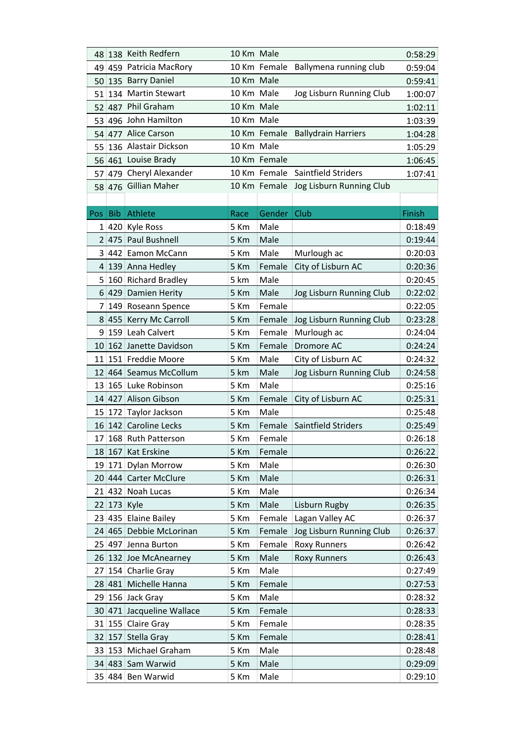| 10 Km Female<br>Ballymena running club<br>459 Patricia MacRory<br>0:59:04<br>49  <br>10 Km Male<br>135 Barry Daniel<br>0:59:41<br>50<br>10 Km Male<br>134 Martin Stewart<br>Jog Lisburn Running Club<br>1:00:07<br>51<br>10 Km Male<br>487 Phil Graham<br>52<br>1:02:11<br>10 Km Male<br>496 John Hamilton<br>1:03:39<br>53<br>54 477 Alice Carson<br>10 Km Female<br><b>Ballydrain Harriers</b><br>1:04:28<br>136 Alastair Dickson<br>10 Km Male<br>1:05:29<br>55<br>10 Km Female<br>56 461 Louise Brady<br>1:06:45<br>479 Cheryl Alexander<br>Saintfield Striders<br>10 Km Female<br>1:07:41<br>57<br>58 476 Gillian Maher<br>10 Km Female<br>Jog Lisburn Running Club<br>Gender Club<br>Athlete<br>Finish<br>Pos Bib<br>Race<br>5 Km<br>Male<br>1 420 Kyle Ross<br>0:18:49<br>Male<br>2 475 Paul Bushnell<br>5 Km<br>0:19:44<br>Male<br>3 442 Eamon McCann<br>5 Km<br>Murlough ac<br>0:20:03<br>5 Km<br>Female<br>City of Lisburn AC<br>4 139 Anna Hedley<br>0:20:36<br>5 km<br>Male<br>160 Richard Bradley<br>0:20:45<br>5<br>Male<br>6 429 Damien Herity<br>5 Km<br>Jog Lisburn Running Club<br>0:22:02<br>149 Roseann Spence<br>5 Km<br>Female<br>0:22:05<br>7<br>455 Kerry Mc Carroll<br>5 Km<br>Jog Lisburn Running Club<br>Female<br>0:23:28<br>8<br>159 Leah Calvert<br>5 Km<br>Female<br>Murlough ac<br>0:24:04<br>9<br>Dromore AC<br>162 Janette Davidson<br>5 Km<br>Female<br>0:24:24<br>10<br>Male<br>151 Freddie Moore<br>5 Km<br>City of Lisburn AC<br>0:24:32<br>11<br>5 km<br>Male<br>Jog Lisburn Running Club<br>12 464 Seamus McCollum<br>0:24:58<br>Male<br>165 Luke Robinson<br>5 Km<br>0:25:16<br>13<br>14 427 Alison Gibson<br>5 Km<br>Female<br>City of Lisburn AC<br>0:25:31<br>Male<br>172 Taylor Jackson<br>5 Km<br>0:25:48<br>15 <sup>2</sup><br>16 142 Caroline Lecks<br>5 Km<br>Female<br>Saintfield Striders<br>0:25:49<br>17 168 Ruth Patterson<br>5 Km<br>Female<br>0:26:18<br>Female<br>18 167 Kat Erskine<br>5 Km<br>0:26:22<br>19 171 Dylan Morrow<br>5 Km<br>Male<br>0:26:30<br>20 444 Carter McClure<br>5 Km<br>Male<br>0:26:31<br>21 432 Noah Lucas<br>5 Km<br>Male<br>0:26:34<br>Male<br>22 173 Kyle<br>5 Km<br>Lisburn Rugby<br>0:26:35<br>23 435 Elaine Bailey<br>5 Km<br>Female<br>Lagan Valley AC<br>0:26:37<br>24 465 Debbie McLorinan<br>5 Km<br>Jog Lisburn Running Club<br>Female<br>0:26:37<br>5 Km<br>Female<br><b>Roxy Runners</b><br>0:26:42<br>25 497 Jenna Burton<br>Male<br>26 132 Joe McAnearney<br>5 Km<br><b>Roxy Runners</b><br>0:26:43 |
|-----------------------------------------------------------------------------------------------------------------------------------------------------------------------------------------------------------------------------------------------------------------------------------------------------------------------------------------------------------------------------------------------------------------------------------------------------------------------------------------------------------------------------------------------------------------------------------------------------------------------------------------------------------------------------------------------------------------------------------------------------------------------------------------------------------------------------------------------------------------------------------------------------------------------------------------------------------------------------------------------------------------------------------------------------------------------------------------------------------------------------------------------------------------------------------------------------------------------------------------------------------------------------------------------------------------------------------------------------------------------------------------------------------------------------------------------------------------------------------------------------------------------------------------------------------------------------------------------------------------------------------------------------------------------------------------------------------------------------------------------------------------------------------------------------------------------------------------------------------------------------------------------------------------------------------------------------------------------------------------------------------------------------------------------------------------------------------------------------------------------------------------------------------------------------------------------------------------------------------------------------------------------------------------------------------------------------------------------------------------------------------------------------------------------------------------------------------------------------------------------------|
|                                                                                                                                                                                                                                                                                                                                                                                                                                                                                                                                                                                                                                                                                                                                                                                                                                                                                                                                                                                                                                                                                                                                                                                                                                                                                                                                                                                                                                                                                                                                                                                                                                                                                                                                                                                                                                                                                                                                                                                                                                                                                                                                                                                                                                                                                                                                                                                                                                                                                                     |
|                                                                                                                                                                                                                                                                                                                                                                                                                                                                                                                                                                                                                                                                                                                                                                                                                                                                                                                                                                                                                                                                                                                                                                                                                                                                                                                                                                                                                                                                                                                                                                                                                                                                                                                                                                                                                                                                                                                                                                                                                                                                                                                                                                                                                                                                                                                                                                                                                                                                                                     |
|                                                                                                                                                                                                                                                                                                                                                                                                                                                                                                                                                                                                                                                                                                                                                                                                                                                                                                                                                                                                                                                                                                                                                                                                                                                                                                                                                                                                                                                                                                                                                                                                                                                                                                                                                                                                                                                                                                                                                                                                                                                                                                                                                                                                                                                                                                                                                                                                                                                                                                     |
|                                                                                                                                                                                                                                                                                                                                                                                                                                                                                                                                                                                                                                                                                                                                                                                                                                                                                                                                                                                                                                                                                                                                                                                                                                                                                                                                                                                                                                                                                                                                                                                                                                                                                                                                                                                                                                                                                                                                                                                                                                                                                                                                                                                                                                                                                                                                                                                                                                                                                                     |
|                                                                                                                                                                                                                                                                                                                                                                                                                                                                                                                                                                                                                                                                                                                                                                                                                                                                                                                                                                                                                                                                                                                                                                                                                                                                                                                                                                                                                                                                                                                                                                                                                                                                                                                                                                                                                                                                                                                                                                                                                                                                                                                                                                                                                                                                                                                                                                                                                                                                                                     |
|                                                                                                                                                                                                                                                                                                                                                                                                                                                                                                                                                                                                                                                                                                                                                                                                                                                                                                                                                                                                                                                                                                                                                                                                                                                                                                                                                                                                                                                                                                                                                                                                                                                                                                                                                                                                                                                                                                                                                                                                                                                                                                                                                                                                                                                                                                                                                                                                                                                                                                     |
|                                                                                                                                                                                                                                                                                                                                                                                                                                                                                                                                                                                                                                                                                                                                                                                                                                                                                                                                                                                                                                                                                                                                                                                                                                                                                                                                                                                                                                                                                                                                                                                                                                                                                                                                                                                                                                                                                                                                                                                                                                                                                                                                                                                                                                                                                                                                                                                                                                                                                                     |
|                                                                                                                                                                                                                                                                                                                                                                                                                                                                                                                                                                                                                                                                                                                                                                                                                                                                                                                                                                                                                                                                                                                                                                                                                                                                                                                                                                                                                                                                                                                                                                                                                                                                                                                                                                                                                                                                                                                                                                                                                                                                                                                                                                                                                                                                                                                                                                                                                                                                                                     |
|                                                                                                                                                                                                                                                                                                                                                                                                                                                                                                                                                                                                                                                                                                                                                                                                                                                                                                                                                                                                                                                                                                                                                                                                                                                                                                                                                                                                                                                                                                                                                                                                                                                                                                                                                                                                                                                                                                                                                                                                                                                                                                                                                                                                                                                                                                                                                                                                                                                                                                     |
|                                                                                                                                                                                                                                                                                                                                                                                                                                                                                                                                                                                                                                                                                                                                                                                                                                                                                                                                                                                                                                                                                                                                                                                                                                                                                                                                                                                                                                                                                                                                                                                                                                                                                                                                                                                                                                                                                                                                                                                                                                                                                                                                                                                                                                                                                                                                                                                                                                                                                                     |
|                                                                                                                                                                                                                                                                                                                                                                                                                                                                                                                                                                                                                                                                                                                                                                                                                                                                                                                                                                                                                                                                                                                                                                                                                                                                                                                                                                                                                                                                                                                                                                                                                                                                                                                                                                                                                                                                                                                                                                                                                                                                                                                                                                                                                                                                                                                                                                                                                                                                                                     |
|                                                                                                                                                                                                                                                                                                                                                                                                                                                                                                                                                                                                                                                                                                                                                                                                                                                                                                                                                                                                                                                                                                                                                                                                                                                                                                                                                                                                                                                                                                                                                                                                                                                                                                                                                                                                                                                                                                                                                                                                                                                                                                                                                                                                                                                                                                                                                                                                                                                                                                     |
|                                                                                                                                                                                                                                                                                                                                                                                                                                                                                                                                                                                                                                                                                                                                                                                                                                                                                                                                                                                                                                                                                                                                                                                                                                                                                                                                                                                                                                                                                                                                                                                                                                                                                                                                                                                                                                                                                                                                                                                                                                                                                                                                                                                                                                                                                                                                                                                                                                                                                                     |
|                                                                                                                                                                                                                                                                                                                                                                                                                                                                                                                                                                                                                                                                                                                                                                                                                                                                                                                                                                                                                                                                                                                                                                                                                                                                                                                                                                                                                                                                                                                                                                                                                                                                                                                                                                                                                                                                                                                                                                                                                                                                                                                                                                                                                                                                                                                                                                                                                                                                                                     |
|                                                                                                                                                                                                                                                                                                                                                                                                                                                                                                                                                                                                                                                                                                                                                                                                                                                                                                                                                                                                                                                                                                                                                                                                                                                                                                                                                                                                                                                                                                                                                                                                                                                                                                                                                                                                                                                                                                                                                                                                                                                                                                                                                                                                                                                                                                                                                                                                                                                                                                     |
|                                                                                                                                                                                                                                                                                                                                                                                                                                                                                                                                                                                                                                                                                                                                                                                                                                                                                                                                                                                                                                                                                                                                                                                                                                                                                                                                                                                                                                                                                                                                                                                                                                                                                                                                                                                                                                                                                                                                                                                                                                                                                                                                                                                                                                                                                                                                                                                                                                                                                                     |
|                                                                                                                                                                                                                                                                                                                                                                                                                                                                                                                                                                                                                                                                                                                                                                                                                                                                                                                                                                                                                                                                                                                                                                                                                                                                                                                                                                                                                                                                                                                                                                                                                                                                                                                                                                                                                                                                                                                                                                                                                                                                                                                                                                                                                                                                                                                                                                                                                                                                                                     |
|                                                                                                                                                                                                                                                                                                                                                                                                                                                                                                                                                                                                                                                                                                                                                                                                                                                                                                                                                                                                                                                                                                                                                                                                                                                                                                                                                                                                                                                                                                                                                                                                                                                                                                                                                                                                                                                                                                                                                                                                                                                                                                                                                                                                                                                                                                                                                                                                                                                                                                     |
|                                                                                                                                                                                                                                                                                                                                                                                                                                                                                                                                                                                                                                                                                                                                                                                                                                                                                                                                                                                                                                                                                                                                                                                                                                                                                                                                                                                                                                                                                                                                                                                                                                                                                                                                                                                                                                                                                                                                                                                                                                                                                                                                                                                                                                                                                                                                                                                                                                                                                                     |
|                                                                                                                                                                                                                                                                                                                                                                                                                                                                                                                                                                                                                                                                                                                                                                                                                                                                                                                                                                                                                                                                                                                                                                                                                                                                                                                                                                                                                                                                                                                                                                                                                                                                                                                                                                                                                                                                                                                                                                                                                                                                                                                                                                                                                                                                                                                                                                                                                                                                                                     |
|                                                                                                                                                                                                                                                                                                                                                                                                                                                                                                                                                                                                                                                                                                                                                                                                                                                                                                                                                                                                                                                                                                                                                                                                                                                                                                                                                                                                                                                                                                                                                                                                                                                                                                                                                                                                                                                                                                                                                                                                                                                                                                                                                                                                                                                                                                                                                                                                                                                                                                     |
|                                                                                                                                                                                                                                                                                                                                                                                                                                                                                                                                                                                                                                                                                                                                                                                                                                                                                                                                                                                                                                                                                                                                                                                                                                                                                                                                                                                                                                                                                                                                                                                                                                                                                                                                                                                                                                                                                                                                                                                                                                                                                                                                                                                                                                                                                                                                                                                                                                                                                                     |
|                                                                                                                                                                                                                                                                                                                                                                                                                                                                                                                                                                                                                                                                                                                                                                                                                                                                                                                                                                                                                                                                                                                                                                                                                                                                                                                                                                                                                                                                                                                                                                                                                                                                                                                                                                                                                                                                                                                                                                                                                                                                                                                                                                                                                                                                                                                                                                                                                                                                                                     |
|                                                                                                                                                                                                                                                                                                                                                                                                                                                                                                                                                                                                                                                                                                                                                                                                                                                                                                                                                                                                                                                                                                                                                                                                                                                                                                                                                                                                                                                                                                                                                                                                                                                                                                                                                                                                                                                                                                                                                                                                                                                                                                                                                                                                                                                                                                                                                                                                                                                                                                     |
|                                                                                                                                                                                                                                                                                                                                                                                                                                                                                                                                                                                                                                                                                                                                                                                                                                                                                                                                                                                                                                                                                                                                                                                                                                                                                                                                                                                                                                                                                                                                                                                                                                                                                                                                                                                                                                                                                                                                                                                                                                                                                                                                                                                                                                                                                                                                                                                                                                                                                                     |
|                                                                                                                                                                                                                                                                                                                                                                                                                                                                                                                                                                                                                                                                                                                                                                                                                                                                                                                                                                                                                                                                                                                                                                                                                                                                                                                                                                                                                                                                                                                                                                                                                                                                                                                                                                                                                                                                                                                                                                                                                                                                                                                                                                                                                                                                                                                                                                                                                                                                                                     |
|                                                                                                                                                                                                                                                                                                                                                                                                                                                                                                                                                                                                                                                                                                                                                                                                                                                                                                                                                                                                                                                                                                                                                                                                                                                                                                                                                                                                                                                                                                                                                                                                                                                                                                                                                                                                                                                                                                                                                                                                                                                                                                                                                                                                                                                                                                                                                                                                                                                                                                     |
|                                                                                                                                                                                                                                                                                                                                                                                                                                                                                                                                                                                                                                                                                                                                                                                                                                                                                                                                                                                                                                                                                                                                                                                                                                                                                                                                                                                                                                                                                                                                                                                                                                                                                                                                                                                                                                                                                                                                                                                                                                                                                                                                                                                                                                                                                                                                                                                                                                                                                                     |
|                                                                                                                                                                                                                                                                                                                                                                                                                                                                                                                                                                                                                                                                                                                                                                                                                                                                                                                                                                                                                                                                                                                                                                                                                                                                                                                                                                                                                                                                                                                                                                                                                                                                                                                                                                                                                                                                                                                                                                                                                                                                                                                                                                                                                                                                                                                                                                                                                                                                                                     |
|                                                                                                                                                                                                                                                                                                                                                                                                                                                                                                                                                                                                                                                                                                                                                                                                                                                                                                                                                                                                                                                                                                                                                                                                                                                                                                                                                                                                                                                                                                                                                                                                                                                                                                                                                                                                                                                                                                                                                                                                                                                                                                                                                                                                                                                                                                                                                                                                                                                                                                     |
|                                                                                                                                                                                                                                                                                                                                                                                                                                                                                                                                                                                                                                                                                                                                                                                                                                                                                                                                                                                                                                                                                                                                                                                                                                                                                                                                                                                                                                                                                                                                                                                                                                                                                                                                                                                                                                                                                                                                                                                                                                                                                                                                                                                                                                                                                                                                                                                                                                                                                                     |
|                                                                                                                                                                                                                                                                                                                                                                                                                                                                                                                                                                                                                                                                                                                                                                                                                                                                                                                                                                                                                                                                                                                                                                                                                                                                                                                                                                                                                                                                                                                                                                                                                                                                                                                                                                                                                                                                                                                                                                                                                                                                                                                                                                                                                                                                                                                                                                                                                                                                                                     |
|                                                                                                                                                                                                                                                                                                                                                                                                                                                                                                                                                                                                                                                                                                                                                                                                                                                                                                                                                                                                                                                                                                                                                                                                                                                                                                                                                                                                                                                                                                                                                                                                                                                                                                                                                                                                                                                                                                                                                                                                                                                                                                                                                                                                                                                                                                                                                                                                                                                                                                     |
|                                                                                                                                                                                                                                                                                                                                                                                                                                                                                                                                                                                                                                                                                                                                                                                                                                                                                                                                                                                                                                                                                                                                                                                                                                                                                                                                                                                                                                                                                                                                                                                                                                                                                                                                                                                                                                                                                                                                                                                                                                                                                                                                                                                                                                                                                                                                                                                                                                                                                                     |
|                                                                                                                                                                                                                                                                                                                                                                                                                                                                                                                                                                                                                                                                                                                                                                                                                                                                                                                                                                                                                                                                                                                                                                                                                                                                                                                                                                                                                                                                                                                                                                                                                                                                                                                                                                                                                                                                                                                                                                                                                                                                                                                                                                                                                                                                                                                                                                                                                                                                                                     |
|                                                                                                                                                                                                                                                                                                                                                                                                                                                                                                                                                                                                                                                                                                                                                                                                                                                                                                                                                                                                                                                                                                                                                                                                                                                                                                                                                                                                                                                                                                                                                                                                                                                                                                                                                                                                                                                                                                                                                                                                                                                                                                                                                                                                                                                                                                                                                                                                                                                                                                     |
|                                                                                                                                                                                                                                                                                                                                                                                                                                                                                                                                                                                                                                                                                                                                                                                                                                                                                                                                                                                                                                                                                                                                                                                                                                                                                                                                                                                                                                                                                                                                                                                                                                                                                                                                                                                                                                                                                                                                                                                                                                                                                                                                                                                                                                                                                                                                                                                                                                                                                                     |
|                                                                                                                                                                                                                                                                                                                                                                                                                                                                                                                                                                                                                                                                                                                                                                                                                                                                                                                                                                                                                                                                                                                                                                                                                                                                                                                                                                                                                                                                                                                                                                                                                                                                                                                                                                                                                                                                                                                                                                                                                                                                                                                                                                                                                                                                                                                                                                                                                                                                                                     |
| 5 Km<br>Male<br>0:27:49<br>27 154 Charlie Gray                                                                                                                                                                                                                                                                                                                                                                                                                                                                                                                                                                                                                                                                                                                                                                                                                                                                                                                                                                                                                                                                                                                                                                                                                                                                                                                                                                                                                                                                                                                                                                                                                                                                                                                                                                                                                                                                                                                                                                                                                                                                                                                                                                                                                                                                                                                                                                                                                                                      |
| 28 481 Michelle Hanna<br>5 Km<br>Female<br>0:27:53                                                                                                                                                                                                                                                                                                                                                                                                                                                                                                                                                                                                                                                                                                                                                                                                                                                                                                                                                                                                                                                                                                                                                                                                                                                                                                                                                                                                                                                                                                                                                                                                                                                                                                                                                                                                                                                                                                                                                                                                                                                                                                                                                                                                                                                                                                                                                                                                                                                  |
| Male<br>5 Km<br>0:28:32<br>29 156 Jack Gray                                                                                                                                                                                                                                                                                                                                                                                                                                                                                                                                                                                                                                                                                                                                                                                                                                                                                                                                                                                                                                                                                                                                                                                                                                                                                                                                                                                                                                                                                                                                                                                                                                                                                                                                                                                                                                                                                                                                                                                                                                                                                                                                                                                                                                                                                                                                                                                                                                                         |
| 30 471 Jacqueline Wallace<br>5 Km<br>Female<br>0:28:33                                                                                                                                                                                                                                                                                                                                                                                                                                                                                                                                                                                                                                                                                                                                                                                                                                                                                                                                                                                                                                                                                                                                                                                                                                                                                                                                                                                                                                                                                                                                                                                                                                                                                                                                                                                                                                                                                                                                                                                                                                                                                                                                                                                                                                                                                                                                                                                                                                              |
| 5 Km<br>Female<br>31 155 Claire Gray<br>0:28:35                                                                                                                                                                                                                                                                                                                                                                                                                                                                                                                                                                                                                                                                                                                                                                                                                                                                                                                                                                                                                                                                                                                                                                                                                                                                                                                                                                                                                                                                                                                                                                                                                                                                                                                                                                                                                                                                                                                                                                                                                                                                                                                                                                                                                                                                                                                                                                                                                                                     |
| 5 Km<br>Female<br>32 157 Stella Gray<br>0:28:41                                                                                                                                                                                                                                                                                                                                                                                                                                                                                                                                                                                                                                                                                                                                                                                                                                                                                                                                                                                                                                                                                                                                                                                                                                                                                                                                                                                                                                                                                                                                                                                                                                                                                                                                                                                                                                                                                                                                                                                                                                                                                                                                                                                                                                                                                                                                                                                                                                                     |
| 33 153 Michael Graham<br>5 Km<br>Male<br>0:28:48                                                                                                                                                                                                                                                                                                                                                                                                                                                                                                                                                                                                                                                                                                                                                                                                                                                                                                                                                                                                                                                                                                                                                                                                                                                                                                                                                                                                                                                                                                                                                                                                                                                                                                                                                                                                                                                                                                                                                                                                                                                                                                                                                                                                                                                                                                                                                                                                                                                    |
| Male<br>34 483 Sam Warwid<br>5 Km<br>0:29:09                                                                                                                                                                                                                                                                                                                                                                                                                                                                                                                                                                                                                                                                                                                                                                                                                                                                                                                                                                                                                                                                                                                                                                                                                                                                                                                                                                                                                                                                                                                                                                                                                                                                                                                                                                                                                                                                                                                                                                                                                                                                                                                                                                                                                                                                                                                                                                                                                                                        |
|                                                                                                                                                                                                                                                                                                                                                                                                                                                                                                                                                                                                                                                                                                                                                                                                                                                                                                                                                                                                                                                                                                                                                                                                                                                                                                                                                                                                                                                                                                                                                                                                                                                                                                                                                                                                                                                                                                                                                                                                                                                                                                                                                                                                                                                                                                                                                                                                                                                                                                     |